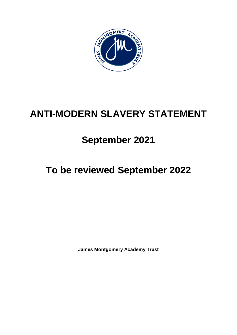

# **ANTI-MODERN SLAVERY STATEMENT**

## **September 2021**

# **To be reviewed September 2022**

**James Montgomery Academy Trust**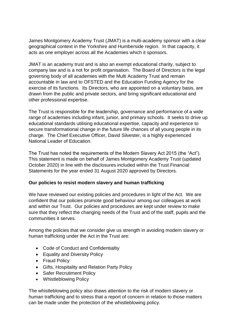James Montgomery Academy Trust (JMAT) is a multi-academy sponsor with a clear geographical context in the Yorkshire and Humberside region. In that capacity, it acts as one employer across all the Academies which it sponsors.

JMAT is an academy trust and is also an exempt educational charity, subject to company law and is a not for profit organisation. The Board of Directors is the legal governing body of all academies with the Multi Academy Trust and remain accountable in law and to OFSTED and the Education Funding Agency for the exercise of its functions. Its Directors, who are appointed on a voluntary basis, are drawn from the public and private sectors, and bring significant educational and other professional expertise.

The Trust is responsible for the leadership, governance and performance of a wide range of academies including infant, junior, and primary schools. It seeks to drive up educational standards utilising educational expertise, capacity and experience to secure transformational change in the future life chances of all young people in its charge. The Chief Executive Officer, David Silvester, is a highly experienced National Leader of Education.

The Trust has noted the requirements of the Modern Slavery Act 2015 (the "Act"). This statement is made on behalf of James Montgomery Academy Trust (updated October 2020) in line with the disclosures included within the Trust Financial Statements for the year ended 31 August 2020 approved by Directors.

#### **Our policies to resist modern slavery and human trafficking**

We have reviewed our existing policies and procedures in light of the Act. We are confident that our policies promote good behaviour among our colleagues at work and within our Trust. Our policies and procedures are kept under review to make sure that they reflect the changing needs of the Trust and of the staff, pupils and the communities it serves.

Among the policies that we consider give us strength in avoiding modern slavery or human trafficking under the Act in the Trust are:

- Code of Conduct and Confidentialtiy
- Equality and Diversity Policy
- Fraud Policy
- Gifts, Hospitality and Relation Party Policy
- Safer Recrutiment Policy
- Whistleblowing Policy

The whistleblowing policy also draws attention to the risk of modern slavery or human trafficking and to stress that a report of concern in relation to those matters can be made under the protection of the whistleblowing policy.